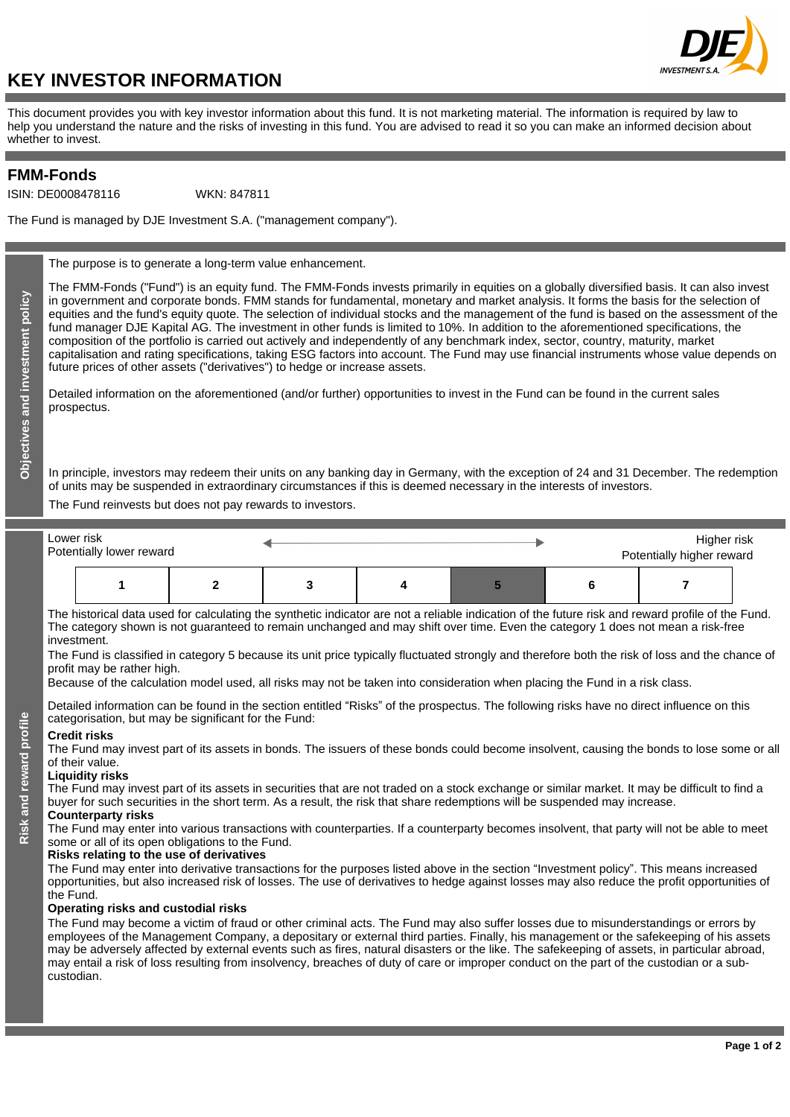

# **KEY INVESTOR INFORMATION**

This document provides you with key investor information about this fund. It is not marketing material. The information is required by law to help you understand the nature and the risks of investing in this fund. You are advised to read it so you can make an informed decision about whether to invest.

## **FMM-Fonds**

ISIN: DE0008478116

WKN: 847811

The Fund is managed by DJE Investment S.A. ("management company").

The purpose is to generate a long-term value enhancement.

The FMM-Fonds ("Fund") is an equity fund. The FMM-Fonds invests primarily in equities on a globally diversified basis. It can also invest in government and corporate bonds. FMM stands for fundamental, monetary and market analysis. It forms the basis for the selection of equities and the fund's equity quote. The selection of individual stocks and the management of the fund is based on the assessment of the fund manager DJE Kapital AG. The investment in other funds is limited to 10%. In addition to the aforementioned specifications, the composition of the portfolio is carried out actively and independently of any benchmark index, sector, country, maturity, market capitalisation and rating specifications, taking ESG factors into account. The Fund may use financial instruments whose value depends on future prices of other assets ("derivatives") to hedge or increase assets.

Detailed information on the aforementioned (and/or further) opportunities to invest in the Fund can be found in the current sales prospectus.

In principle, investors may redeem their units on any banking day in Germany, with the exception of 24 and 31 December. The redemption of units may be suspended in extraordinary circumstances if this is deemed necessary in the interests of investors.

The Fund reinvests but does not pay rewards to investors.

| Lower risk<br>Potentially lower reward |  |  |  |  |  | Higher risk<br>Potentially higher reward |  |  |
|----------------------------------------|--|--|--|--|--|------------------------------------------|--|--|
|                                        |  |  |  |  |  |                                          |  |  |

The historical data used for calculating the synthetic indicator are not a reliable indication of the future risk and reward profile of the Fund. The category shown is not guaranteed to remain unchanged and may shift over time. Even the category 1 does not mean a risk-free investment.

The Fund is classified in category 5 because its unit price typically fluctuated strongly and therefore both the risk of loss and the chance of profit may be rather high.

Because of the calculation model used, all risks may not be taken into consideration when placing the Fund in a risk class.

Detailed information can be found in the section entitled "Risks" of the prospectus. The following risks have no direct influence on this categorisation, but may be significant for the Fund:

#### **Credit risks**

**Risk and reward profile**

Risk and reward profile

The Fund may invest part of its assets in bonds. The issuers of these bonds could become insolvent, causing the bonds to lose some or all of their value.

#### **Liquidity risks**

The Fund may invest part of its assets in securities that are not traded on a stock exchange or similar market. It may be difficult to find a buyer for such securities in the short term. As a result, the risk that share redemptions will be suspended may increase. **Counterparty risks**

The Fund may enter into various transactions with counterparties. If a counterparty becomes insolvent, that party will not be able to meet some or all of its open obligations to the Fund.

#### **Risks relating to the use of derivatives**

The Fund may enter into derivative transactions for the purposes listed above in the section "Investment policy". This means increased opportunities, but also increased risk of losses. The use of derivatives to hedge against losses may also reduce the profit opportunities of the Fund.

### **Operating risks and custodial risks**

The Fund may become a victim of fraud or other criminal acts. The Fund may also suffer losses due to misunderstandings or errors by employees of the Management Company, a depositary or external third parties. Finally, his management or the safekeeping of his assets may be adversely affected by external events such as fires, natural disasters or the like. The safekeeping of assets, in particular abroad, may entail a risk of loss resulting from insolvency, breaches of duty of care or improper conduct on the part of the custodian or a subcustodian.